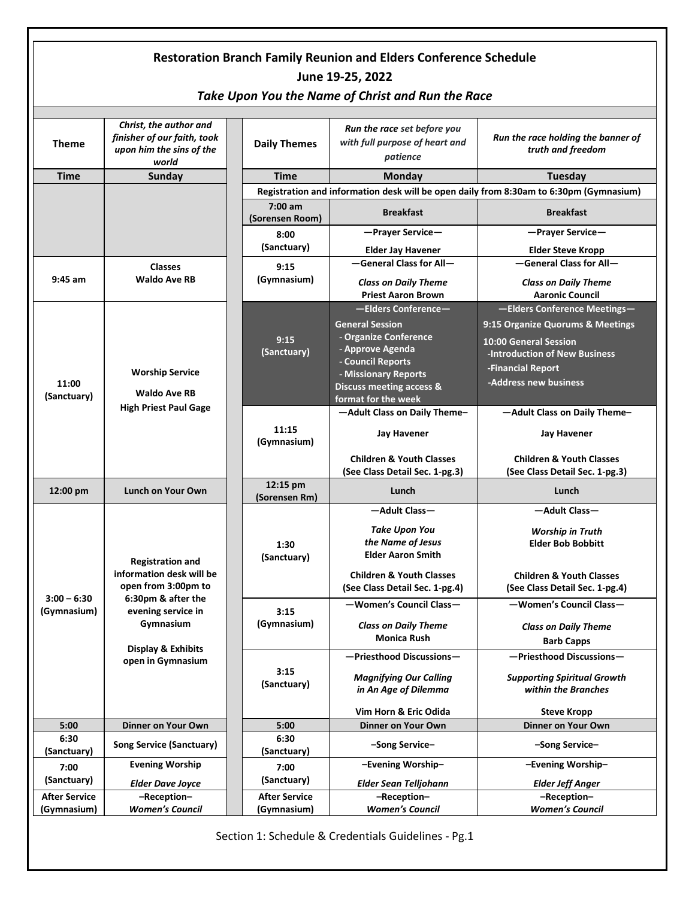## **Restoration Branch Family Reunion and Elders Conference Schedule**

## **June 19-25, 2022** *Take Upon You the Name of Christ and Run the Race*

|                      | Christ, the author and                                                        |                              |                                                                                        |                                                           |  |
|----------------------|-------------------------------------------------------------------------------|------------------------------|----------------------------------------------------------------------------------------|-----------------------------------------------------------|--|
| <b>Theme</b>         | finisher of our faith, took                                                   | <b>Daily Themes</b>          | Run the race set before you<br>with full purpose of heart and                          | Run the race holding the banner of                        |  |
|                      | upon him the sins of the<br>world                                             |                              | patience                                                                               | truth and freedom                                         |  |
| <b>Time</b>          | <b>Sunday</b>                                                                 | Time                         | Monday                                                                                 | <b>Tuesday</b>                                            |  |
|                      |                                                                               |                              | Registration and information desk will be open daily from 8:30am to 6:30pm (Gymnasium) |                                                           |  |
|                      |                                                                               | $7:00$ am<br>(Sorensen Room) | <b>Breakfast</b>                                                                       | <b>Breakfast</b>                                          |  |
|                      |                                                                               | 8:00                         | -Prayer Service-                                                                       | -Prayer Service-                                          |  |
|                      |                                                                               | (Sanctuary)                  | <b>Elder Jay Havener</b>                                                               | <b>Elder Steve Kropp</b>                                  |  |
|                      | <b>Classes</b><br><b>Waldo Ave RB</b>                                         | 9:15<br>(Gymnasium)          | -General Class for All-                                                                | -General Class for All-                                   |  |
| $9:45$ am            |                                                                               |                              | <b>Class on Daily Theme</b>                                                            | <b>Class on Daily Theme</b>                               |  |
|                      |                                                                               |                              | <b>Priest Aaron Brown</b>                                                              | <b>Aaronic Council</b>                                    |  |
|                      |                                                                               |                              | -Elders Conference-                                                                    | -Elders Conference Meetings-                              |  |
|                      |                                                                               |                              | <b>General Session</b>                                                                 | 9:15 Organize Quorums & Meetings                          |  |
|                      | <b>Worship Service</b><br><b>Waldo Ave RB</b><br><b>High Priest Paul Gage</b> | 9:15                         | - Organize Conference                                                                  | <b>10:00 General Session</b>                              |  |
|                      |                                                                               | (Sanctuary)                  | - Approve Agenda<br>- Council Reports                                                  | <b>-Introduction of New Business</b>                      |  |
|                      |                                                                               |                              | - Missionary Reports                                                                   | -Financial Report                                         |  |
| 11:00                |                                                                               |                              | <b>Discuss meeting access &amp;</b>                                                    | -Address new business                                     |  |
| (Sanctuary)          |                                                                               |                              | format for the week                                                                    |                                                           |  |
|                      |                                                                               |                              | -Adult Class on Daily Theme-                                                           | -Adult Class on Daily Theme-                              |  |
|                      |                                                                               | 11:15<br>(Gymnasium)         | <b>Jay Havener</b>                                                                     | <b>Jay Havener</b>                                        |  |
|                      |                                                                               |                              | <b>Children &amp; Youth Classes</b>                                                    | <b>Children &amp; Youth Classes</b>                       |  |
|                      |                                                                               |                              | (See Class Detail Sec. 1-pg.3)                                                         | (See Class Detail Sec. 1-pg.3)                            |  |
| 12:00 pm             | <b>Lunch on Your Own</b>                                                      | 12:15 pm                     | Lunch                                                                                  | Lunch                                                     |  |
|                      |                                                                               | (Sorensen Rm)                | -Adult Class-                                                                          | -Adult Class-                                             |  |
|                      |                                                                               |                              |                                                                                        |                                                           |  |
|                      | <b>Registration and</b><br>information desk will be                           |                              | <b>Take Upon You</b>                                                                   | <b>Worship in Truth</b>                                   |  |
|                      |                                                                               | 1:30                         | the Name of Jesus<br><b>Elder Aaron Smith</b>                                          | <b>Elder Bob Bobbitt</b>                                  |  |
|                      |                                                                               | (Sanctuary)                  |                                                                                        |                                                           |  |
|                      |                                                                               |                              | <b>Children &amp; Youth Classes</b>                                                    | <b>Children &amp; Youth Classes</b>                       |  |
| $3:00 - 6:30$        | open from 3:00pm to                                                           |                              | (See Class Detail Sec. 1-pg.4)                                                         | (See Class Detail Sec. 1-pg.4)                            |  |
| (Gymnasium)          | 6:30pm & after the<br>evening service in                                      | 3:15                         | -Women's Council Class-                                                                | -Women's Council Class-                                   |  |
|                      | Gymnasium                                                                     | (Gymnasium)                  | <b>Class on Daily Theme</b>                                                            | <b>Class on Daily Theme</b>                               |  |
|                      | Display & Exhibits<br>open in Gymnasium                                       |                              | <b>Monica Rush</b>                                                                     | <b>Barb Capps</b>                                         |  |
|                      |                                                                               |                              | -Priesthood Discussions-                                                               | -Priesthood Discussions-                                  |  |
|                      |                                                                               | 3:15                         |                                                                                        |                                                           |  |
|                      |                                                                               | (Sanctuary)                  | <b>Magnifying Our Calling</b>                                                          | <b>Supporting Spiritual Growth</b><br>within the Branches |  |
|                      |                                                                               |                              | in An Age of Dilemma                                                                   |                                                           |  |
|                      |                                                                               |                              | Vim Horn & Eric Odida                                                                  | <b>Steve Kropp</b>                                        |  |
| 5:00                 | <b>Dinner on Your Own</b>                                                     | 5:00                         | <b>Dinner on Your Own</b>                                                              | Dinner on Your Own                                        |  |
| 6:30<br>(Sanctuary)  | <b>Song Service (Sanctuary)</b>                                               | 6:30<br>(Sanctuary)          | -Song Service-                                                                         | -Song Service-                                            |  |
| 7:00                 | <b>Evening Worship</b>                                                        | 7:00                         | -Evening Worship-                                                                      | -Evening Worship-                                         |  |
| (Sanctuary)          | <b>Elder Dave Joyce</b>                                                       | (Sanctuary)                  | Elder Sean Telljohann                                                                  | <b>Elder Jeff Anger</b>                                   |  |
| <b>After Service</b> | -Reception-                                                                   | <b>After Service</b>         | -Reception-                                                                            | -Reception-                                               |  |
| (Gymnasium)          | <b>Women's Council</b>                                                        | (Gymnasium)                  | <b>Women's Council</b>                                                                 | <b>Women's Council</b>                                    |  |

Section 1: Schedule & Credentials Guidelines - Pg.1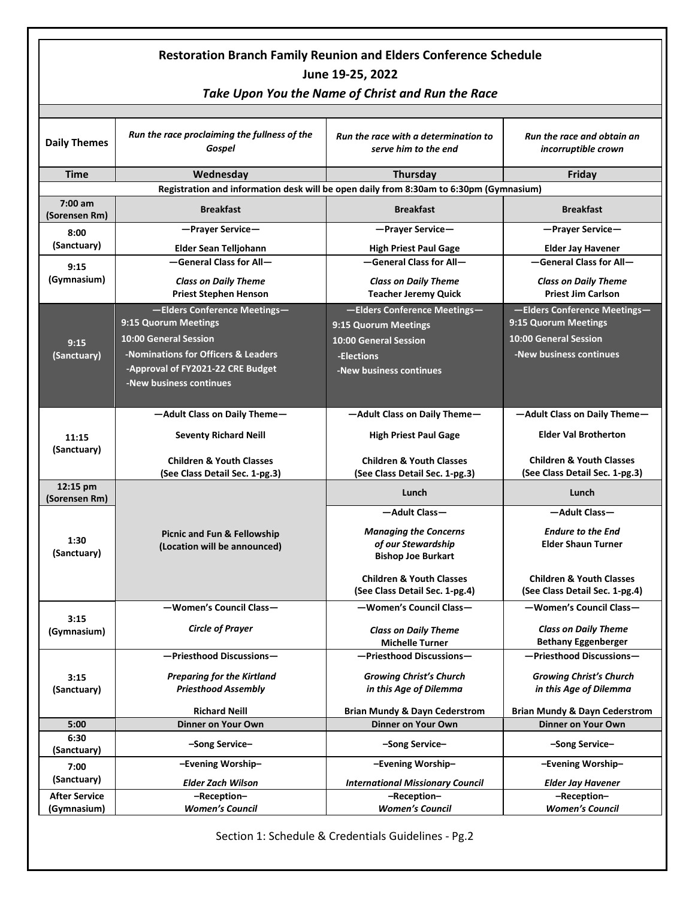| <b>Restoration Branch Family Reunion and Elders Conference Schedule</b><br>June 19-25, 2022<br>Take Upon You the Name of Christ and Run the Race |                                                                 |                                                              |                                                           |  |  |  |  |
|--------------------------------------------------------------------------------------------------------------------------------------------------|-----------------------------------------------------------------|--------------------------------------------------------------|-----------------------------------------------------------|--|--|--|--|
| Run the race proclaiming the fullness of the<br><b>Daily Themes</b><br>Gospel                                                                    |                                                                 | Run the race with a determination to<br>serve him to the end | Run the race and obtain an<br>incorruptible crown         |  |  |  |  |
| <b>Time</b>                                                                                                                                      | Wednesday                                                       | Thursday                                                     | Friday                                                    |  |  |  |  |
| Registration and information desk will be open daily from 8:30am to 6:30pm (Gymnasium)                                                           |                                                                 |                                                              |                                                           |  |  |  |  |
| $7:00$ am<br>(Sorensen Rm)                                                                                                                       | <b>Breakfast</b>                                                | <b>Breakfast</b>                                             | <b>Breakfast</b>                                          |  |  |  |  |
| 8:00                                                                                                                                             | -Prayer Service-                                                | -Prayer Service-                                             | -Prayer Service-                                          |  |  |  |  |
| (Sanctuary)                                                                                                                                      | Elder Sean Telljohann                                           | <b>High Priest Paul Gage</b>                                 | <b>Elder Jay Havener</b>                                  |  |  |  |  |
| 9:15                                                                                                                                             | -General Class for All-                                         | -General Class for All-                                      | -General Class for All-                                   |  |  |  |  |
| (Gymnasium)                                                                                                                                      | <b>Class on Daily Theme</b><br><b>Priest Stephen Henson</b>     | <b>Class on Daily Theme</b><br><b>Teacher Jeremy Quick</b>   | <b>Class on Daily Theme</b><br><b>Priest Jim Carlson</b>  |  |  |  |  |
| 9:15                                                                                                                                             | -Elders Conference Meetings-<br>9:15 Quorum Meetings            | -Elders Conference Meetings-<br>9:15 Quorum Meetings         | -Elders Conference Meetings-<br>9:15 Quorum Meetings      |  |  |  |  |
|                                                                                                                                                  | 10:00 General Session                                           | 10:00 General Session                                        | 10:00 General Session                                     |  |  |  |  |
| (Sanctuary)                                                                                                                                      | -Nominations for Officers & Leaders                             | -Elections                                                   | -New business continues                                   |  |  |  |  |
|                                                                                                                                                  | -Approval of FY2021-22 CRE Budget                               | -New business continues                                      |                                                           |  |  |  |  |
|                                                                                                                                                  | -New business continues                                         |                                                              |                                                           |  |  |  |  |
|                                                                                                                                                  |                                                                 |                                                              |                                                           |  |  |  |  |
|                                                                                                                                                  | -Adult Class on Daily Theme-                                    | -Adult Class on Daily Theme-                                 | -Adult Class on Daily Theme-                              |  |  |  |  |
| 11:15                                                                                                                                            | <b>Seventy Richard Neill</b>                                    | <b>High Priest Paul Gage</b>                                 | <b>Elder Val Brotherton</b>                               |  |  |  |  |
| (Sanctuary)                                                                                                                                      | <b>Children &amp; Youth Classes</b>                             | <b>Children &amp; Youth Classes</b>                          | <b>Children &amp; Youth Classes</b>                       |  |  |  |  |
|                                                                                                                                                  | (See Class Detail Sec. 1-pg.3)                                  | (See Class Detail Sec. 1-pg.3)                               | (See Class Detail Sec. 1-pg.3)                            |  |  |  |  |
| 12:15 pm<br>(Sorensen Rm)                                                                                                                        |                                                                 | Lunch                                                        | Lunch                                                     |  |  |  |  |
|                                                                                                                                                  |                                                                 | -Adult Class-                                                | -Adult Class-                                             |  |  |  |  |
|                                                                                                                                                  | <b>Picnic and Fun &amp; Fellowship</b>                          | <b>Managing the Concerns</b>                                 | <b>Endure to the End</b>                                  |  |  |  |  |
| 1:30<br>(Sanctuary)                                                                                                                              | (Location will be announced)                                    | of our Stewardship                                           | <b>Elder Shaun Turner</b>                                 |  |  |  |  |
|                                                                                                                                                  |                                                                 | <b>Bishop Joe Burkart</b>                                    |                                                           |  |  |  |  |
|                                                                                                                                                  |                                                                 | <b>Children &amp; Youth Classes</b>                          | <b>Children &amp; Youth Classes</b>                       |  |  |  |  |
|                                                                                                                                                  |                                                                 | (See Class Detail Sec. 1-pg.4)                               | (See Class Detail Sec. 1-pg.4)                            |  |  |  |  |
| 3:15<br>(Gymnasium)                                                                                                                              | -Women's Council Class-                                         | -Women's Council Class-                                      | -Women's Council Class-                                   |  |  |  |  |
|                                                                                                                                                  | <b>Circle of Prayer</b>                                         | <b>Class on Daily Theme</b><br><b>Michelle Turner</b>        | <b>Class on Daily Theme</b><br><b>Bethany Eggenberger</b> |  |  |  |  |
|                                                                                                                                                  | -Priesthood Discussions-                                        | -Priesthood Discussions-                                     | -Priesthood Discussions-                                  |  |  |  |  |
| 3:15                                                                                                                                             |                                                                 |                                                              |                                                           |  |  |  |  |
|                                                                                                                                                  | <b>Preparing for the Kirtland</b><br><b>Priesthood Assembly</b> | <b>Growing Christ's Church</b><br>in this Age of Dilemma     | <b>Growing Christ's Church</b><br>in this Age of Dilemma  |  |  |  |  |
| (Sanctuary)                                                                                                                                      |                                                                 |                                                              |                                                           |  |  |  |  |
|                                                                                                                                                  | <b>Richard Neill</b>                                            | <b>Brian Mundy &amp; Dayn Cederstrom</b>                     | <b>Brian Mundy &amp; Dayn Cederstrom</b>                  |  |  |  |  |
| 5:00                                                                                                                                             | Dinner on Your Own                                              | Dinner on Your Own                                           | Dinner on Your Own                                        |  |  |  |  |
| 6:30<br>(Sanctuary)                                                                                                                              | -Song Service-                                                  | -Song Service-                                               | -Song Service-                                            |  |  |  |  |
| 7:00                                                                                                                                             | -Evening Worship-                                               | -Evening Worship-                                            | -Evening Worship-                                         |  |  |  |  |
| (Sanctuary)                                                                                                                                      | <b>Elder Zach Wilson</b>                                        | <b>International Missionary Council</b>                      | <b>Elder Jay Havener</b>                                  |  |  |  |  |
| <b>After Service</b><br>-Reception-                                                                                                              |                                                                 | -Reception-                                                  | -Reception-                                               |  |  |  |  |
| (Gymnasium)                                                                                                                                      | <b>Women's Council</b>                                          | <b>Women's Council</b>                                       | <b>Women's Council</b>                                    |  |  |  |  |

Section 1: Schedule & Credentials Guidelines - Pg.2